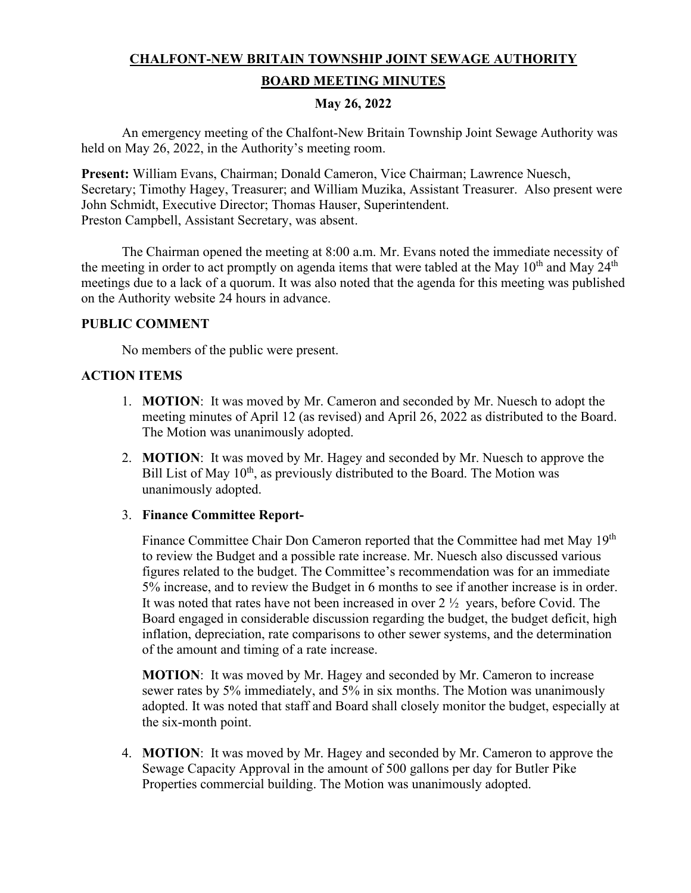# **CHALFONT-NEW BRITAIN TOWNSHIP JOINT SEWAGE AUTHORITY BOARD MEETING MINUTES**

## **May 26, 2022**

An emergency meeting of the Chalfont-New Britain Township Joint Sewage Authority was held on May 26, 2022, in the Authority's meeting room.

**Present:** William Evans, Chairman; Donald Cameron, Vice Chairman; Lawrence Nuesch, Secretary; Timothy Hagey, Treasurer; and William Muzika, Assistant Treasurer. Also present were John Schmidt, Executive Director; Thomas Hauser, Superintendent. Preston Campbell, Assistant Secretary, was absent.

The Chairman opened the meeting at 8:00 a.m. Mr. Evans noted the immediate necessity of the meeting in order to act promptly on agenda items that were tabled at the May  $10^{\text{th}}$  and May  $24^{\text{th}}$ meetings due to a lack of a quorum. It was also noted that the agenda for this meeting was published on the Authority website 24 hours in advance.

### **PUBLIC COMMENT**

No members of the public were present.

### **ACTION ITEMS**

- 1. **MOTION**: It was moved by Mr. Cameron and seconded by Mr. Nuesch to adopt the meeting minutes of April 12 (as revised) and April 26, 2022 as distributed to the Board. The Motion was unanimously adopted.
- 2. **MOTION**: It was moved by Mr. Hagey and seconded by Mr. Nuesch to approve the Bill List of May  $10^{th}$ , as previously distributed to the Board. The Motion was unanimously adopted.

#### 3. **Finance Committee Report-**

Finance Committee Chair Don Cameron reported that the Committee had met May 19<sup>th</sup> to review the Budget and a possible rate increase. Mr. Nuesch also discussed various figures related to the budget. The Committee's recommendation was for an immediate 5% increase, and to review the Budget in 6 months to see if another increase is in order. It was noted that rates have not been increased in over 2 ½ years, before Covid. The Board engaged in considerable discussion regarding the budget, the budget deficit, high inflation, depreciation, rate comparisons to other sewer systems, and the determination of the amount and timing of a rate increase.

**MOTION**: It was moved by Mr. Hagey and seconded by Mr. Cameron to increase sewer rates by 5% immediately, and 5% in six months. The Motion was unanimously adopted. It was noted that staff and Board shall closely monitor the budget, especially at the six-month point.

4. **MOTION**: It was moved by Mr. Hagey and seconded by Mr. Cameron to approve the Sewage Capacity Approval in the amount of 500 gallons per day for Butler Pike Properties commercial building. The Motion was unanimously adopted.